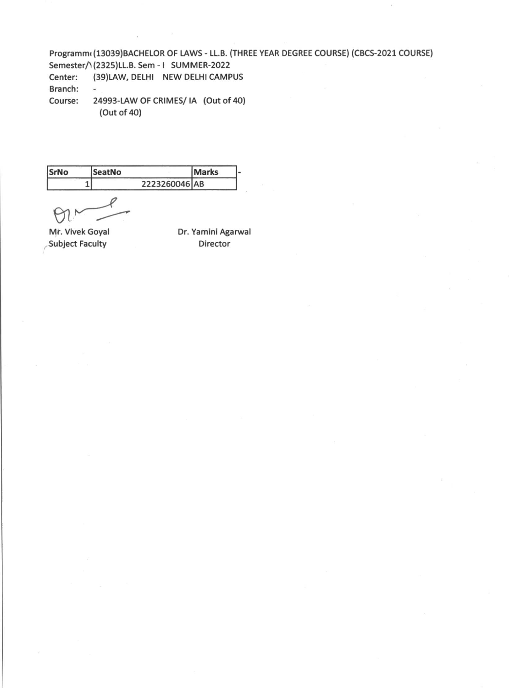Programm((13039)BACHELOR OF LAWS - LL.B. (THREE YEAR DEGREE COURSE) (CBCS-2021 COURSE) Semester/1(2325)LL.B. Sem - I SUMMER-2022 Center: (39)LAW, DELHI NEW DELHI CAMPUS Branch: - Course: 24993-LAW OF CRIMES/ IA (Out of 40)

(Out of 40)

| SrNo | <b>SeatNo</b> | <b>Marks</b> |  |
|------|---------------|--------------|--|
|      | 2223260046 AB |              |  |

Subject Faculty **Director** 

Mr. Vivek Goyal Dr. Yamini Agarwal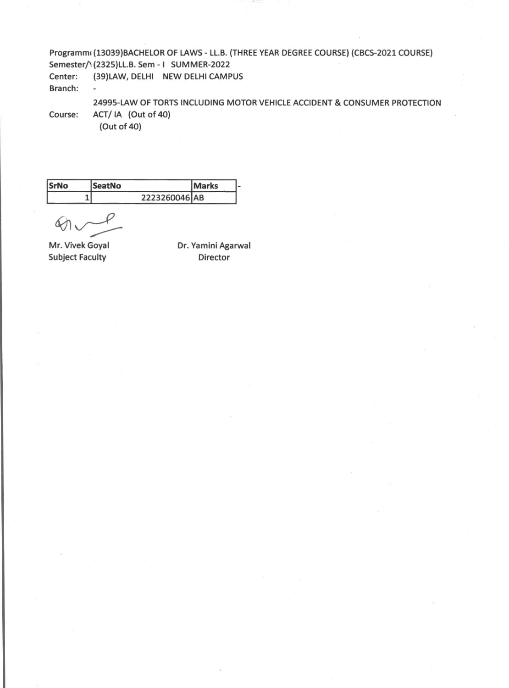Programmi (13039)BACHELOR OF LAWS - LL.B. (THREE YEAR DEGREE COURSE) (CBCS-2021 COURSE) Semester/1(2325)LL.B. Sem - I SUMMER-2022 Center: (39)LAW, DELHI NEW DELHI CAMPUS Branch: ÷.

24995-LAW OF TORTS INCLUDING MOTOR VEHICLE ACCIDENT & CONSUMER PROTECTION Course: ACT/ IA (Out of 40)

(Out of 40)

| SrNo | <b>SeatNo</b> | <b>IMarks</b> |  |
|------|---------------|---------------|--|
|      | 2223260046 AB |               |  |

 $\alpha$ 

Subject Faculty **Director** 

Mr. Vivek Goyal Dr. Yamini Agarwal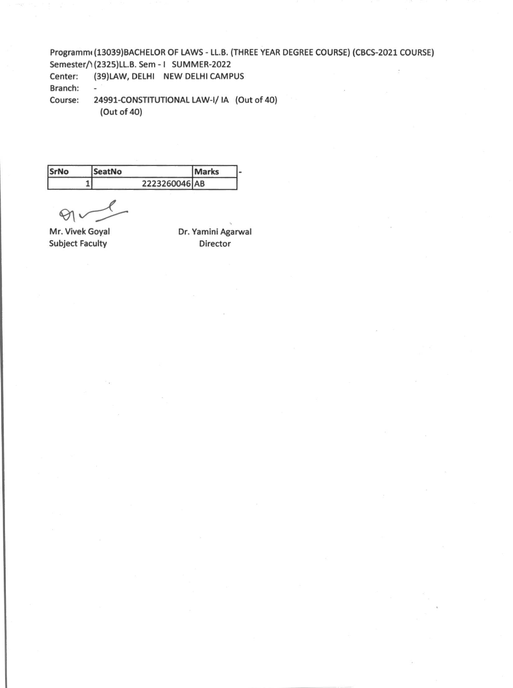Programmi (13039)BACHELOR OF LAWS - LL.B. (THREE YEAR DEGREE COURSE) (CBCS-2021 COURSE) Semester/1(2325)LL.B. Sem - I SUMMER-2022 Center: (39)LAW, DELHI NEW DELHI CAMPUS Branch: -

Course: 24991-CONSTITUTIONAL LAW-I/ IA (Out of 40) (Out of 40)

| SrNo | SeatNo        | <b>Marks</b> |  |
|------|---------------|--------------|--|
|      | 2223260046 AB |              |  |

 $\Theta$ 

**Mr.** Vivek Goya! Subject Faculty

Dr. Yamini Agarwal Director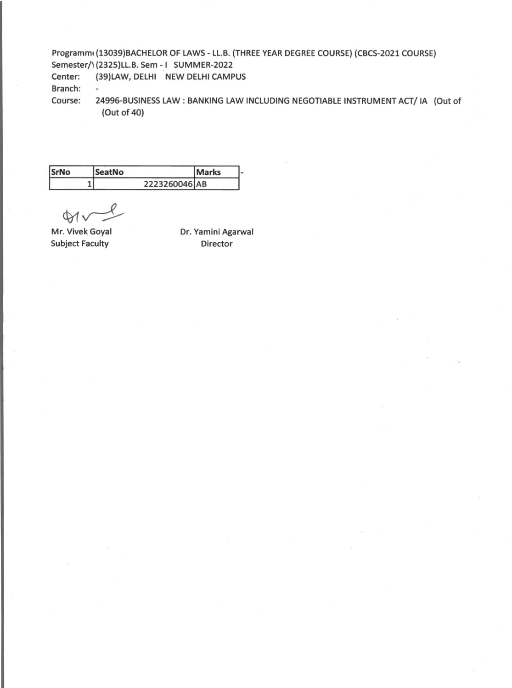Programmi (13039)BACHELOR OF LAWS - LL.B. (THREE YEAR DEGREE COURSE) (CBCS-2021 COURSE) Semester/1(2325)LL.B. Sem - I SUMMER-2022 Center: (39)LAW, DELHI NEW DELHI CAMPUS

Branch:

 $\blacksquare$ 

Course: 24996-BUSINESS LAW: BANKING LAW INCLUDING NEGOTIABLE INSTRUMENT ACT/ IA (Out of (Out of 40)

| SrNo | <b>SeatNo</b> | Marks |  |
|------|---------------|-------|--|
|      | 2223260046 AB |       |  |

 $\not\infty$ 

Mr. Vivek Goyal Subject Faculty

Dr. Yamini Agarwal Director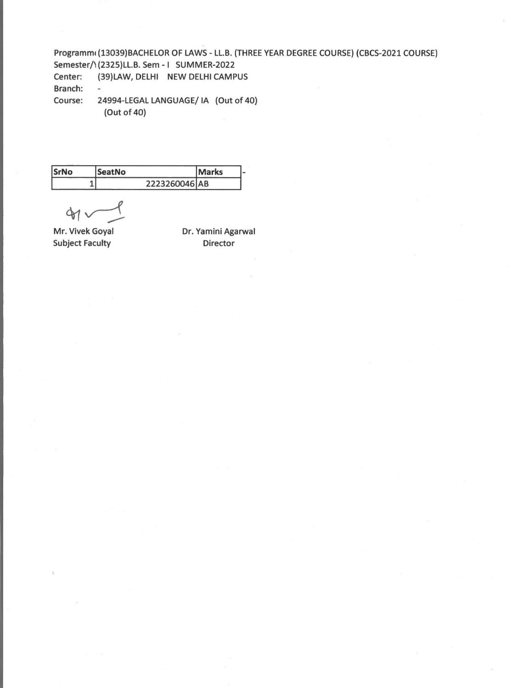Programmi (13039)BACHELOR OF LAWS - LL.B. (THREE YEAR DEGREE COURSE) (CBCS-2021 COURSE) Semester/1(2325)LL.B. Sem - I SUMMER-2022 Center: (39)LAW, DELHI NEW DELHI CAMPUS Branch: - Course: 24994-LEGAL LANGUAGE/ IA (Out of 40) (Out of 40)

| <b>SrNo</b> | <b>SeatNo</b> | <b>Marks</b> |  |
|-------------|---------------|--------------|--|
|             | 2223260046 AB |              |  |

 $41$ 

Subject Faculty **Director** 

Mr. Vivek Goyal Dr. Yamini Agarwal